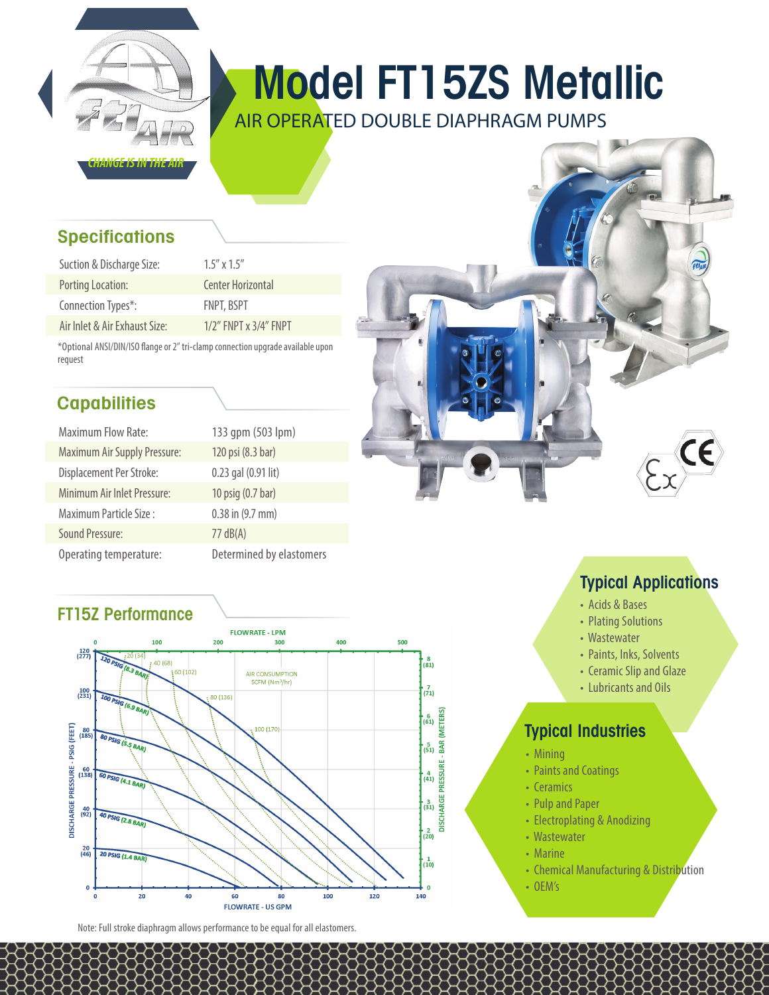

# Model FT15ZS Metallic

AIR OPERATED DOUBLE DIAPHRAGM PUMPS

|  |  | <b>Specifications</b> |  |
|--|--|-----------------------|--|
|--|--|-----------------------|--|

| Suction & Discharge Size:     | $1.5''$ x $1.5''$           |
|-------------------------------|-----------------------------|
| Porting Location:             | Center Horizontal           |
| Connection Types*:            | <b>FNPT, BSPT</b>           |
| Air Inlet & Air Exhaust Size: | $1/2$ " FNPT x $3/4$ " FNPT |

\*Optional ANSI/DIN/ISO flange or 2" tri-clamp connection upgrade available upon request

## **Capabilities**

| <b>Maximum Flow Rate:</b>           | 133 qpm (503 lpm)        |
|-------------------------------------|--------------------------|
| <b>Maximum Air Supply Pressure:</b> | 120 psi (8.3 bar)        |
| Displacement Per Stroke:            | 0.23 gal (0.91 lit)      |
| Minimum Air Inlet Pressure:         | 10 psig (0.7 bar)        |
| Maximum Particle Size:              | $0.38$ in $(9.7$ mm)     |
| <b>Sound Pressure:</b>              | $77 \text{ dB}(A)$       |
| Operating temperature:              | Determined by elastomers |

## FT15Z Performance



Typical Applications

- Acids & Bases
- Plating Solutions
- Wastewater
- Paints, Inks, Solvents
- Ceramic Slip and Glaze
- Lubricants and Oils

## Typical Industries

- Mining
- Paints and Coatings
- Ceramics
- Pulp and Paper
- Electroplating & Anodizing
- Wastewater
- Marine
- Chemical Manufacturing & Distribution
- OEM's

Note: Full stroke diaphragm allows performance to be equal for all elastomers.